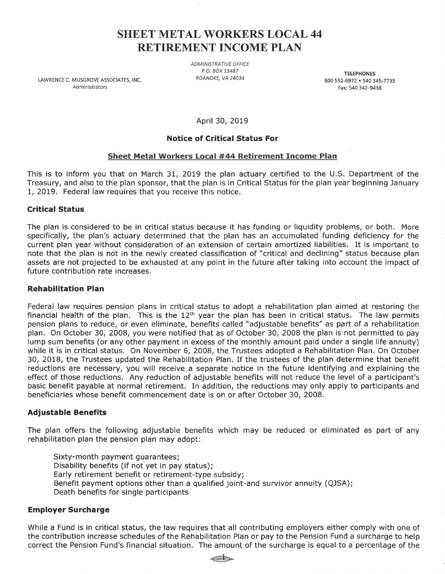# **SHEET METAL WORKERS LOCAL 44 RETIREMENT INCOME PLAN**

LAWRENCE C. MUSGROVE ASSOCIATES, INC. Administrators

ADMINISTRATIVE OFFICE P.O. BOX 13487 ROANOKE, VA 24034

**TELEPHONES**  800 552-6972 • 540 345-7735 Fax: 540 342-9438

April 30, 2019

# **Notice of Critical Status For**

## **Sheet Metal Workers Local #44 Retirement I ncome Plan**

This is to inform you that on March 31, 2019 the plan actuary certified to the U.S. Department of the Treasury, and also to the plan sponsor, that the plan is in Critical Status for the plan year beginning January 1, 2019. Federal law requires that you receive this notice.

## **Critical Status**

The plan is considered to be in critical status because it has funding or liquidity problems, or both. More specifically, the plan's actuary determined that the plan has an accumulated funding deficiency for the current plan year without consideration of an extension of certain amortized liabilities. It is important to note that the plan is not in the newly created classification of "critical and declining" status because plan assets are not projected to be exhausted at any point in the future after taking into account the impact of future contribution rate increases.

#### **Rehabilitation Plan**

Federal law requires pension plans in critical status to adopt a rehabilitation plan aimed at restoring the financial health of the plan. This is the  $12<sup>th</sup>$  year the plan has been in critical status. The law permits pension plans to reduce, or even eliminate, benefits called "adjustable benefits" as part of a rehabilitation plan. On October 30, 2008, you were notified that as of October 30, 2008 the plan is not permitted to pay lump sum benefits (or any other payment in excess of the monthly amount paid under a single life annuity) while it is in critical status. On November 6, 2008, the Trustees adopted a Rehabilitation Plan. On October 30, 2018, the Trustees updated the Rehabilitation Plan. If the trustees of the plan determine that benefit reductions are necessary, you will receive a separate notice in the future identifying and explaining the effect of those reductions. Any reduction of adjustable benefits will not reduce the level of a participant's basic benefit payable at normal retirement. In addition, the reductions may only apply to participants and beneficiaries whose benefit commencement date is on or after October 30, 2008.

#### **Adjustable Benefits**

The plan offers the following adjustable benefits which may be reduced or eliminated as part of any rehabilitation plan the pension plan may adopt:

Sixty-month payment guarantees; Disability benefits (if not yet in pay status); Early retirement benefit or retirement-type subsidy; Benefit payment options other than a qualified joint-and survivor annuity (QJSA); Death benefits for single participants

#### **Employer Surcharge**

While a Fund is in critical status, the law requires that all contributing employers either comply with one of the contribution increase schedules of the Rehabilitation Plan or pay to the Pension Fund a surcharge to help correct the Pension Fund's financial situation. The amount of the surcharge is equal to a percentage of the

 $\epsilon$